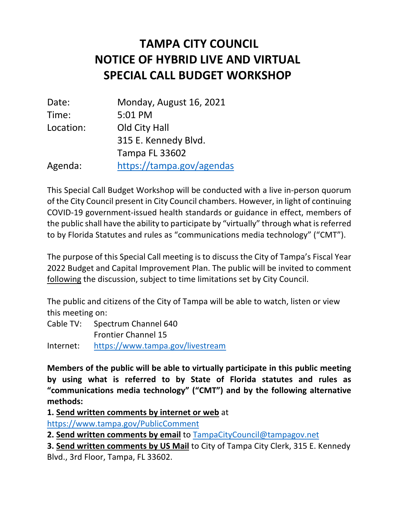## **NOTICE OF HYBRID LIVE AND VIRTUAL TAMPA CITY COUNCIL SPECIAL CALL BUDGET WORKSHOP**

| Date:     | Monday, August 16, 2021   |
|-----------|---------------------------|
| Time:     | 5:01 PM                   |
| Location: | Old City Hall             |
|           | 315 E. Kennedy Blvd.      |
|           | <b>Tampa FL 33602</b>     |
| Agenda:   | https://tampa.gov/agendas |

 This Special Call Budget Workshop will be conducted with a live in-person quorum of the City Council present in City Council chambers. However, in light of continuing COVID-19 government-issued health standards or guidance in effect, members of the public shall have the ability to participate by "virtually" through what isreferred to by Florida Statutes and rules as "communications media technology" ("CMT").

 The purpose of this Special Call meeting is to discuss the City of Tampa's Fiscal Year 2022 Budget and Capital Improvement Plan. The public will be invited to comment following the discussion, subject to time limitations set by City Council.

 The public and citizens of the City of Tampa will be able to watch, listen or view this meeting on:

 Cable TV: Spectrum Channel 640 Frontier Channel 15

Internet: https://www.tampa.gov/livestream

 **Members of the public will be able to virtually participate in this public meeting by using what is referred to by State of Florida statutes and rules as "communications media technology" ("CMT") and by the following alternative methods:** 

**1. Send written comments by internet or web** at

https://www.tampa.gov/PublicComment

 **2. Send written comments by email** to TampaCityCouncil@tampagov.net

 **3. Send written comments by US Mail** to City of Tampa City Clerk, 315 E. Kennedy Blvd., 3rd Floor, Tampa, FL 33602.